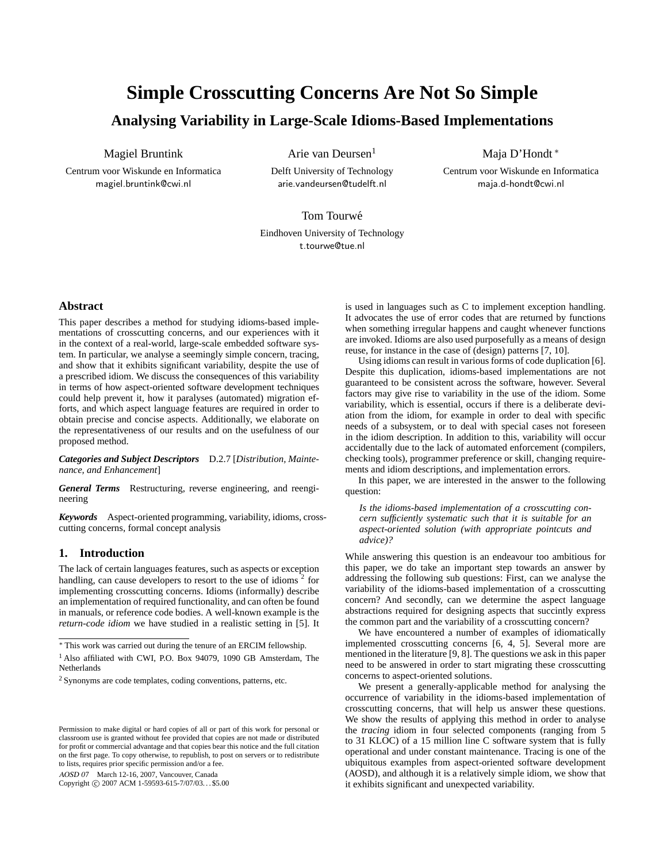# **Simple Crosscutting Concerns Are Not So Simple**

**Analysing Variability in Large-Scale Idioms-Based Implementations**

Magiel Bruntink

Centrum voor Wiskunde en Informatica magiel.bruntink@cwi.nl

Arie van Deursen<sup>1</sup> Delft University of Technology arie.vandeursen@tudelft.nl

Maja D'Hondt <sup>∗</sup>

Centrum voor Wiskunde en Informatica maja.d-hondt@cwi.nl

Tom Tourwé

Eindhoven University of Technology t.tourwe@tue.nl

# **Abstract**

This paper describes a method for studying idioms-based implementations of crosscutting concerns, and our experiences with it in the context of a real-world, large-scale embedded software system. In particular, we analyse a seemingly simple concern, tracing, and show that it exhibits significant variability, despite the use of a prescribed idiom. We discuss the consequences of this variability in terms of how aspect-oriented software development techniques could help prevent it, how it paralyses (automated) migration efforts, and which aspect language features are required in order to obtain precise and concise aspects. Additionally, we elaborate on the representativeness of our results and on the usefulness of our proposed method.

*Categories and Subject Descriptors* D.2.7 [*Distribution, Maintenance, and Enhancement*]

*General Terms* Restructuring, reverse engineering, and reengineering

*Keywords* Aspect-oriented programming, variability, idioms, crosscutting concerns, formal concept analysis

# **1. Introduction**

The lack of certain languages features, such as aspects or exception handling, can cause developers to resort to the use of idioms $<sup>2</sup>$  for</sup> implementing crosscutting concerns. Idioms (informally) describe an implementation of required functionality, and can often be found in manuals, or reference code bodies. A well-known example is the *return-code idiom* we have studied in a realistic setting in [5]. It

AOSD 07 March 12-16, 2007, Vancouver, Canada

Copyright © 2007 ACM 1-59593-615-7/07/03... \$5.00

is used in languages such as C to implement exception handling. It advocates the use of error codes that are returned by functions when something irregular happens and caught whenever functions are invoked. Idioms are also used purposefully as a means of design reuse, for instance in the case of (design) patterns [7, 10].

Using idioms can result in various forms of code duplication [6]. Despite this duplication, idioms-based implementations are not guaranteed to be consistent across the software, however. Several factors may give rise to variability in the use of the idiom. Some variability, which is essential, occurs if there is a deliberate deviation from the idiom, for example in order to deal with specific needs of a subsystem, or to deal with special cases not foreseen in the idiom description. In addition to this, variability will occur accidentally due to the lack of automated enforcement (compilers, checking tools), programmer preference or skill, changing requirements and idiom descriptions, and implementation errors.

In this paper, we are interested in the answer to the following question:

*Is the idioms-based implementation of a crosscutting concern sufficiently systematic such that it is suitable for an aspect-oriented solution (with appropriate pointcuts and advice)?*

While answering this question is an endeavour too ambitious for this paper, we do take an important step towards an answer by addressing the following sub questions: First, can we analyse the variability of the idioms-based implementation of a crosscutting concern? And secondly, can we determine the aspect language abstractions required for designing aspects that succintly express the common part and the variability of a crosscutting concern?

We have encountered a number of examples of idiomatically implemented crosscutting concerns [6, 4, 5]. Several more are mentioned in the literature [9, 8]. The questions we ask in this paper need to be answered in order to start migrating these crosscutting concerns to aspect-oriented solutions.

We present a generally-applicable method for analysing the occurrence of variability in the idioms-based implementation of crosscutting concerns, that will help us answer these questions. We show the results of applying this method in order to analyse the *tracing* idiom in four selected components (ranging from 5 to 31 KLOC) of a 15 million line C software system that is fully operational and under constant maintenance. Tracing is one of the ubiquitous examples from aspect-oriented software development (AOSD), and although it is a relatively simple idiom, we show that it exhibits significant and unexpected variability.

<sup>∗</sup> This work was carried out during the tenure of an ERCIM fellowship.

<sup>&</sup>lt;sup>1</sup> Also affiliated with CWI, P.O. Box 94079, 1090 GB Amsterdam, The **Netherlands** 

<sup>2</sup> Synonyms are code templates, coding conventions, patterns, etc.

Permission to make digital or hard copies of all or part of this work for personal or classroom use is granted without fee provided that copies are not made or distributed for profit or commercial advantage and that copies bear this notice and the full citation on the first page. To copy otherwise, to republish, to post on servers or to redistribute to lists, requires prior specific permission and/or a fee.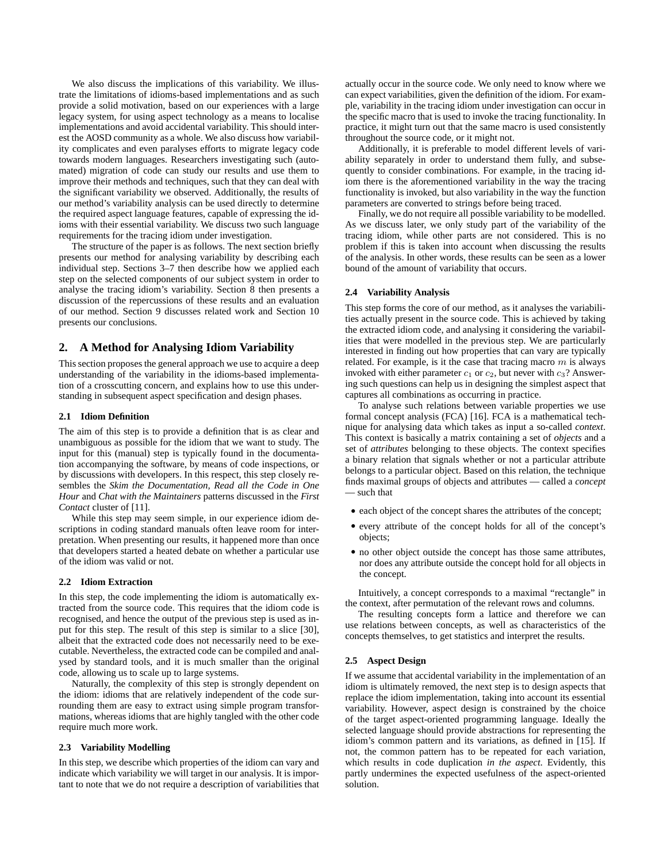We also discuss the implications of this variability. We illustrate the limitations of idioms-based implementations and as such provide a solid motivation, based on our experiences with a large legacy system, for using aspect technology as a means to localise implementations and avoid accidental variability. This should interest the AOSD community as a whole. We also discuss how variability complicates and even paralyses efforts to migrate legacy code towards modern languages. Researchers investigating such (automated) migration of code can study our results and use them to improve their methods and techniques, such that they can deal with the significant variability we observed. Additionally, the results of our method's variability analysis can be used directly to determine the required aspect language features, capable of expressing the idioms with their essential variability. We discuss two such language requirements for the tracing idiom under investigation.

The structure of the paper is as follows. The next section briefly presents our method for analysing variability by describing each individual step. Sections 3–7 then describe how we applied each step on the selected components of our subject system in order to analyse the tracing idiom's variability. Section 8 then presents a discussion of the repercussions of these results and an evaluation of our method. Section 9 discusses related work and Section 10 presents our conclusions.

# **2. A Method for Analysing Idiom Variability**

This section proposes the general approach we use to acquire a deep understanding of the variability in the idioms-based implementation of a crosscutting concern, and explains how to use this understanding in subsequent aspect specification and design phases.

## **2.1 Idiom Definition**

The aim of this step is to provide a definition that is as clear and unambiguous as possible for the idiom that we want to study. The input for this (manual) step is typically found in the documentation accompanying the software, by means of code inspections, or by discussions with developers. In this respect, this step closely resembles the *Skim the Documentation, Read all the Code in One Hour* and *Chat with the Maintainers* patterns discussed in the *First Contact* cluster of [11].

While this step may seem simple, in our experience idiom descriptions in coding standard manuals often leave room for interpretation. When presenting our results, it happened more than once that developers started a heated debate on whether a particular use of the idiom was valid or not.

#### **2.2 Idiom Extraction**

In this step, the code implementing the idiom is automatically extracted from the source code. This requires that the idiom code is recognised, and hence the output of the previous step is used as input for this step. The result of this step is similar to a slice [30], albeit that the extracted code does not necessarily need to be executable. Nevertheless, the extracted code can be compiled and analysed by standard tools, and it is much smaller than the original code, allowing us to scale up to large systems.

Naturally, the complexity of this step is strongly dependent on the idiom: idioms that are relatively independent of the code surrounding them are easy to extract using simple program transformations, whereas idioms that are highly tangled with the other code require much more work.

# **2.3 Variability Modelling**

In this step, we describe which properties of the idiom can vary and indicate which variability we will target in our analysis. It is important to note that we do not require a description of variabilities that actually occur in the source code. We only need to know where we can expect variabilities, given the definition of the idiom. For example, variability in the tracing idiom under investigation can occur in the specific macro that is used to invoke the tracing functionality. In practice, it might turn out that the same macro is used consistently throughout the source code, or it might not.

Additionally, it is preferable to model different levels of variability separately in order to understand them fully, and subsequently to consider combinations. For example, in the tracing idiom there is the aforementioned variability in the way the tracing functionality is invoked, but also variability in the way the function parameters are converted to strings before being traced.

Finally, we do not require all possible variability to be modelled. As we discuss later, we only study part of the variability of the tracing idiom, while other parts are not considered. This is no problem if this is taken into account when discussing the results of the analysis. In other words, these results can be seen as a lower bound of the amount of variability that occurs.

## **2.4 Variability Analysis**

This step forms the core of our method, as it analyses the variabilities actually present in the source code. This is achieved by taking the extracted idiom code, and analysing it considering the variabilities that were modelled in the previous step. We are particularly interested in finding out how properties that can vary are typically related. For example, is it the case that tracing macro  $m$  is always invoked with either parameter  $c_1$  or  $c_2$ , but never with  $c_3$ ? Answering such questions can help us in designing the simplest aspect that captures all combinations as occurring in practice.

To analyse such relations between variable properties we use formal concept analysis (FCA) [16]. FCA is a mathematical technique for analysing data which takes as input a so-called *context*. This context is basically a matrix containing a set of *objects* and a set of *attributes* belonging to these objects. The context specifies a binary relation that signals whether or not a particular attribute belongs to a particular object. Based on this relation, the technique finds maximal groups of objects and attributes — called a *concept* — such that

- each object of the concept shares the attributes of the concept;
- every attribute of the concept holds for all of the concept's objects;
- no other object outside the concept has those same attributes, nor does any attribute outside the concept hold for all objects in the concept.

Intuitively, a concept corresponds to a maximal "rectangle" in the context, after permutation of the relevant rows and columns.

The resulting concepts form a lattice and therefore we can use relations between concepts, as well as characteristics of the concepts themselves, to get statistics and interpret the results.

#### **2.5 Aspect Design**

If we assume that accidental variability in the implementation of an idiom is ultimately removed, the next step is to design aspects that replace the idiom implementation, taking into account its essential variability. However, aspect design is constrained by the choice of the target aspect-oriented programming language. Ideally the selected language should provide abstractions for representing the idiom's common pattern and its variations, as defined in [15]. If not, the common pattern has to be repeated for each variation, which results in code duplication *in the aspect*. Evidently, this partly undermines the expected usefulness of the aspect-oriented solution.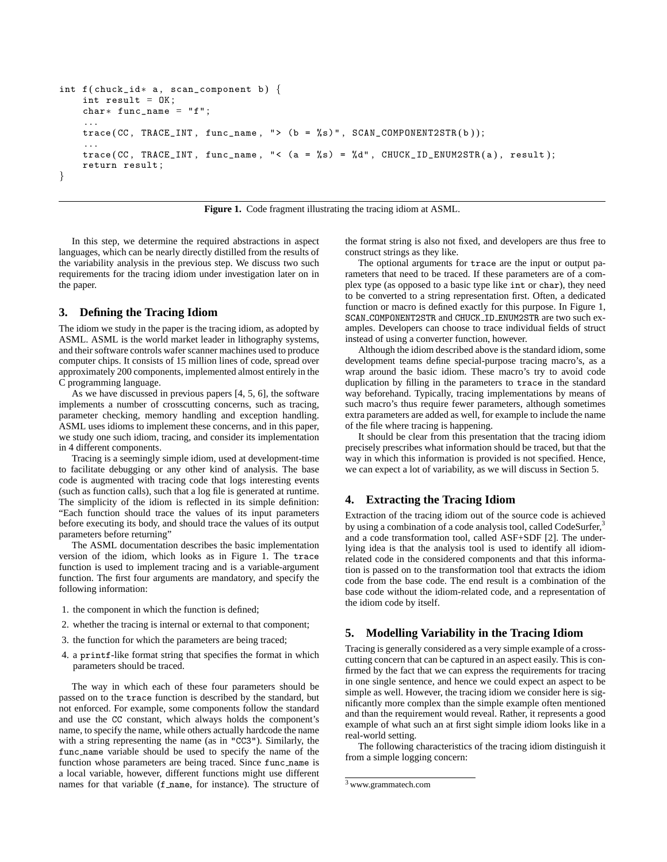```
int f ( chuck_id* a, scan_component b) {
    int result = 0K;
    char* func_name = "f";
    . . .
    trace (CC, TRACE_INT, func_name, "> (b = %s)", SCAN_COMPONENT2STR(b));
    . . .
    trace ( CC, TRACE_INT, func_name, " < (a = %s) = %d", CHICKID_ENUM2STR(a), result);return result ;
}
```
**Figure 1.** Code fragment illustrating the tracing idiom at ASML.

In this step, we determine the required abstractions in aspect languages, which can be nearly directly distilled from the results of the variability analysis in the previous step. We discuss two such requirements for the tracing idiom under investigation later on in the paper.

# **3. Defining the Tracing Idiom**

The idiom we study in the paper is the tracing idiom, as adopted by ASML. ASML is the world market leader in lithography systems, and their software controls wafer scanner machines used to produce computer chips. It consists of 15 million lines of code, spread over approximately 200 components, implemented almost entirely in the C programming language.

As we have discussed in previous papers [4, 5, 6], the software implements a number of crosscutting concerns, such as tracing, parameter checking, memory handling and exception handling. ASML uses idioms to implement these concerns, and in this paper, we study one such idiom, tracing, and consider its implementation in 4 different components.

Tracing is a seemingly simple idiom, used at development-time to facilitate debugging or any other kind of analysis. The base code is augmented with tracing code that logs interesting events (such as function calls), such that a log file is generated at runtime. The simplicity of the idiom is reflected in its simple definition: "Each function should trace the values of its input parameters before executing its body, and should trace the values of its output parameters before returning"

The ASML documentation describes the basic implementation version of the idiom, which looks as in Figure 1. The trace function is used to implement tracing and is a variable-argument function. The first four arguments are mandatory, and specify the following information:

- 1. the component in which the function is defined;
- 2. whether the tracing is internal or external to that component;
- 3. the function for which the parameters are being traced;
- 4. a printf-like format string that specifies the format in which parameters should be traced.

The way in which each of these four parameters should be passed on to the trace function is described by the standard, but not enforced. For example, some components follow the standard and use the CC constant, which always holds the component's name, to specify the name, while others actually hardcode the name with a string representing the name (as in "CC3"). Similarly, the func name variable should be used to specify the name of the function whose parameters are being traced. Since func\_name is a local variable, however, different functions might use different names for that variable (f name, for instance). The structure of the format string is also not fixed, and developers are thus free to construct strings as they like.

The optional arguments for trace are the input or output parameters that need to be traced. If these parameters are of a complex type (as opposed to a basic type like int or char), they need to be converted to a string representation first. Often, a dedicated function or macro is defined exactly for this purpose. In Figure 1, SCAN COMPONENT2STR and CHUCK ID ENUM2STR are two such examples. Developers can choose to trace individual fields of struct instead of using a converter function, however.

Although the idiom described above is the standard idiom, some development teams define special-purpose tracing macro's, as a wrap around the basic idiom. These macro's try to avoid code duplication by filling in the parameters to trace in the standard way beforehand. Typically, tracing implementations by means of such macro's thus require fewer parameters, although sometimes extra parameters are added as well, for example to include the name of the file where tracing is happening.

It should be clear from this presentation that the tracing idiom precisely prescribes what information should be traced, but that the way in which this information is provided is not specified. Hence, we can expect a lot of variability, as we will discuss in Section 5.

## **4. Extracting the Tracing Idiom**

Extraction of the tracing idiom out of the source code is achieved by using a combination of a code analysis tool, called CodeSurfer,<sup>3</sup> and a code transformation tool, called ASF+SDF [2]. The underlying idea is that the analysis tool is used to identify all idiomrelated code in the considered components and that this information is passed on to the transformation tool that extracts the idiom code from the base code. The end result is a combination of the base code without the idiom-related code, and a representation of the idiom code by itself.

## **5. Modelling Variability in the Tracing Idiom**

Tracing is generally considered as a very simple example of a crosscutting concern that can be captured in an aspect easily. This is confirmed by the fact that we can express the requirements for tracing in one single sentence, and hence we could expect an aspect to be simple as well. However, the tracing idiom we consider here is significantly more complex than the simple example often mentioned and than the requirement would reveal. Rather, it represents a good example of what such an at first sight simple idiom looks like in a real-world setting.

The following characteristics of the tracing idiom distinguish it from a simple logging concern:

<sup>3</sup> www.grammatech.com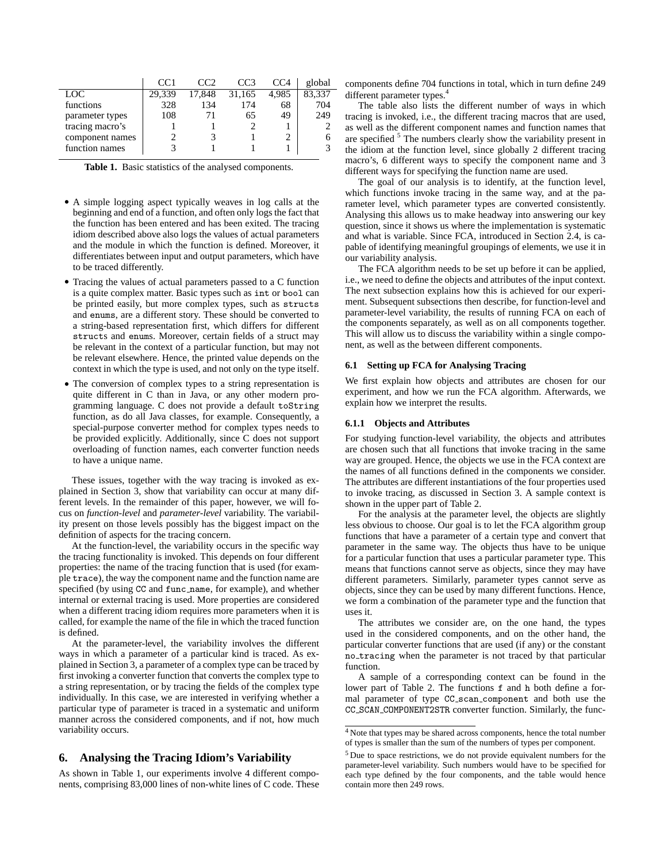|                 | Œ      |        | CC3    | CC4   | global |
|-----------------|--------|--------|--------|-------|--------|
| LOC             | 29,339 | 17,848 | 31,165 | 4,985 | 83,337 |
| functions       | 328    | 134    | 174    | 68    | 704    |
| parameter types | 108    |        | 65     | 49    | 249    |
| tracing macro's |        |        |        |       | 2      |
| component names |        |        |        |       | 6      |
| function names  |        |        |        |       | 3      |

**Table 1.** Basic statistics of the analysed components.

- A simple logging aspect typically weaves in log calls at the beginning and end of a function, and often only logs the fact that the function has been entered and has been exited. The tracing idiom described above also logs the values of actual parameters and the module in which the function is defined. Moreover, it differentiates between input and output parameters, which have to be traced differently.
- Tracing the values of actual parameters passed to a C function is a quite complex matter. Basic types such as int or bool can be printed easily, but more complex types, such as structs and enums, are a different story. These should be converted to a string-based representation first, which differs for different structs and enums. Moreover, certain fields of a struct may be relevant in the context of a particular function, but may not be relevant elsewhere. Hence, the printed value depends on the context in which the type is used, and not only on the type itself.
- The conversion of complex types to a string representation is quite different in C than in Java, or any other modern programming language. C does not provide a default toString function, as do all Java classes, for example. Consequently, a special-purpose converter method for complex types needs to be provided explicitly. Additionally, since C does not support overloading of function names, each converter function needs to have a unique name.

These issues, together with the way tracing is invoked as explained in Section 3, show that variability can occur at many different levels. In the remainder of this paper, however, we will focus on *function-level* and *parameter-level* variability. The variability present on those levels possibly has the biggest impact on the definition of aspects for the tracing concern.

At the function-level, the variability occurs in the specific way the tracing functionality is invoked. This depends on four different properties: the name of the tracing function that is used (for example trace), the way the component name and the function name are specified (by using CC and func name, for example), and whether internal or external tracing is used. More properties are considered when a different tracing idiom requires more parameters when it is called, for example the name of the file in which the traced function is defined.

At the parameter-level, the variability involves the different ways in which a parameter of a particular kind is traced. As explained in Section 3, a parameter of a complex type can be traced by first invoking a converter function that converts the complex type to a string representation, or by tracing the fields of the complex type individually. In this case, we are interested in verifying whether a particular type of parameter is traced in a systematic and uniform manner across the considered components, and if not, how much variability occurs.

## **6. Analysing the Tracing Idiom's Variability**

As shown in Table 1, our experiments involve 4 different components, comprising 83,000 lines of non-white lines of C code. These components define 704 functions in total, which in turn define 249 different parameter types.<sup>4</sup>

The table also lists the different number of ways in which tracing is invoked, i.e., the different tracing macros that are used, as well as the different component names and function names that are specified <sup>5</sup> The numbers clearly show the variability present in the idiom at the function level, since globally 2 different tracing macro's, 6 different ways to specify the component name and 3 different ways for specifying the function name are used.

The goal of our analysis is to identify, at the function level, which functions invoke tracing in the same way, and at the parameter level, which parameter types are converted consistently. Analysing this allows us to make headway into answering our key question, since it shows us where the implementation is systematic and what is variable. Since FCA, introduced in Section 2.4, is capable of identifying meaningful groupings of elements, we use it in our variability analysis.

The FCA algorithm needs to be set up before it can be applied, i.e., we need to define the objects and attributes of the input context. The next subsection explains how this is achieved for our experiment. Subsequent subsections then describe, for function-level and parameter-level variability, the results of running FCA on each of the components separately, as well as on all components together. This will allow us to discuss the variability within a single component, as well as the between different components.

### **6.1 Setting up FCA for Analysing Tracing**

We first explain how objects and attributes are chosen for our experiment, and how we run the FCA algorithm. Afterwards, we explain how we interpret the results.

## **6.1.1 Objects and Attributes**

For studying function-level variability, the objects and attributes are chosen such that all functions that invoke tracing in the same way are grouped. Hence, the objects we use in the FCA context are the names of all functions defined in the components we consider. The attributes are different instantiations of the four properties used to invoke tracing, as discussed in Section 3. A sample context is shown in the upper part of Table 2.

For the analysis at the parameter level, the objects are slightly less obvious to choose. Our goal is to let the FCA algorithm group functions that have a parameter of a certain type and convert that parameter in the same way. The objects thus have to be unique for a particular function that uses a particular parameter type. This means that functions cannot serve as objects, since they may have different parameters. Similarly, parameter types cannot serve as objects, since they can be used by many different functions. Hence, we form a combination of the parameter type and the function that uses it.

The attributes we consider are, on the one hand, the types used in the considered components, and on the other hand, the particular converter functions that are used (if any) or the constant no tracing when the parameter is not traced by that particular function.

A sample of a corresponding context can be found in the lower part of Table 2. The functions f and h both define a formal parameter of type CC scan component and both use the CC SCAN COMPONENT2STR converter function. Similarly, the func-

<sup>&</sup>lt;sup>4</sup> Note that types may be shared across components, hence the total number of types is smaller than the sum of the numbers of types per component.

<sup>5</sup> Due to space restrictions, we do not provide equivalent numbers for the parameter-level variability. Such numbers would have to be specified for each type defined by the four components, and the table would hence contain more then 249 rows.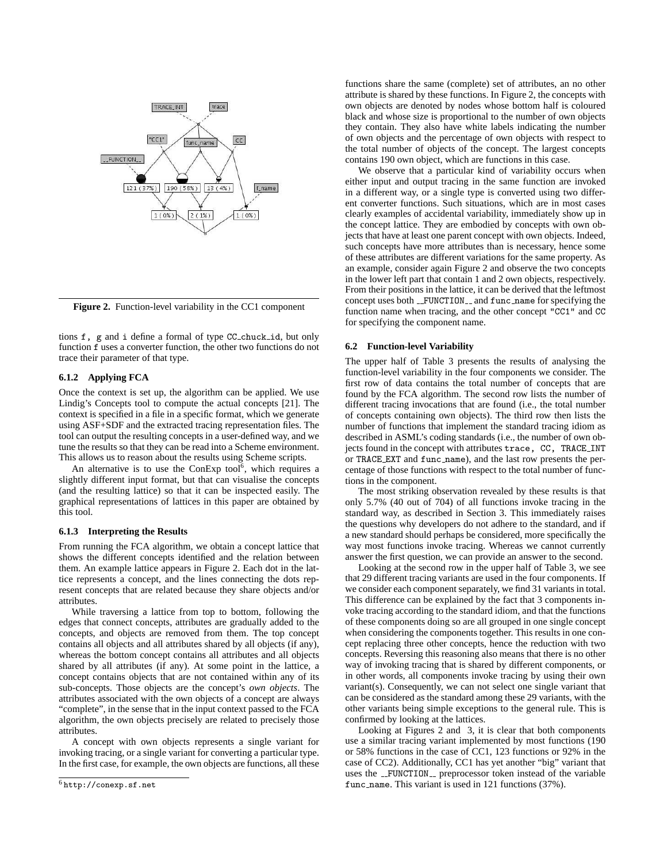

**Figure 2.** Function-level variability in the CC1 component

tions f, g and i define a formal of type CC chuck id, but only function f uses a converter function, the other two functions do not trace their parameter of that type.

## **6.1.2 Applying FCA**

Once the context is set up, the algorithm can be applied. We use Lindig's Concepts tool to compute the actual concepts [21]. The context is specified in a file in a specific format, which we generate using ASF+SDF and the extracted tracing representation files. The tool can output the resulting concepts in a user-defined way, and we tune the results so that they can be read into a Scheme environment. This allows us to reason about the results using Scheme scripts.

An alternative is to use the ConExp tool<sup>6</sup>, which requires a slightly different input format, but that can visualise the concepts (and the resulting lattice) so that it can be inspected easily. The graphical representations of lattices in this paper are obtained by this tool.

#### **6.1.3 Interpreting the Results**

From running the FCA algorithm, we obtain a concept lattice that shows the different concepts identified and the relation between them. An example lattice appears in Figure 2. Each dot in the lattice represents a concept, and the lines connecting the dots represent concepts that are related because they share objects and/or attributes.

While traversing a lattice from top to bottom, following the edges that connect concepts, attributes are gradually added to the concepts, and objects are removed from them. The top concept contains all objects and all attributes shared by all objects (if any), whereas the bottom concept contains all attributes and all objects shared by all attributes (if any). At some point in the lattice, a concept contains objects that are not contained within any of its sub-concepts. Those objects are the concept's *own objects*. The attributes associated with the own objects of a concept are always "complete", in the sense that in the input context passed to the FCA algorithm, the own objects precisely are related to precisely those attributes.

A concept with own objects represents a single variant for invoking tracing, or a single variant for converting a particular type. In the first case, for example, the own objects are functions, all these

functions share the same (complete) set of attributes, an no other attribute is shared by these functions. In Figure 2, the concepts with own objects are denoted by nodes whose bottom half is coloured black and whose size is proportional to the number of own objects they contain. They also have white labels indicating the number of own objects and the percentage of own objects with respect to the total number of objects of the concept. The largest concepts contains 190 own object, which are functions in this case.

We observe that a particular kind of variability occurs when either input and output tracing in the same function are invoked in a different way, or a single type is converted using two different converter functions. Such situations, which are in most cases clearly examples of accidental variability, immediately show up in the concept lattice. They are embodied by concepts with own objects that have at least one parent concept with own objects. Indeed, such concepts have more attributes than is necessary, hence some of these attributes are different variations for the same property. As an example, consider again Figure 2 and observe the two concepts in the lower left part that contain 1 and 2 own objects, respectively. From their positions in the lattice, it can be derived that the leftmost concept uses both \_\_FUNCTION\_\_ and func\_name for specifying the function name when tracing, and the other concept "CC1" and CC for specifying the component name.

### **6.2 Function-level Variability**

The upper half of Table 3 presents the results of analysing the function-level variability in the four components we consider. The first row of data contains the total number of concepts that are found by the FCA algorithm. The second row lists the number of different tracing invocations that are found (i.e., the total number of concepts containing own objects). The third row then lists the number of functions that implement the standard tracing idiom as described in ASML's coding standards (i.e., the number of own objects found in the concept with attributes trace, CC, TRACE INT or TRACE EXT and func name), and the last row presents the percentage of those functions with respect to the total number of functions in the component.

The most striking observation revealed by these results is that only 5.7% (40 out of 704) of all functions invoke tracing in the standard way, as described in Section 3. This immediately raises the questions why developers do not adhere to the standard, and if a new standard should perhaps be considered, more specifically the way most functions invoke tracing. Whereas we cannot currently answer the first question, we can provide an answer to the second.

Looking at the second row in the upper half of Table 3, we see that 29 different tracing variants are used in the four components. If we consider each component separately, we find 31 variants in total. This difference can be explained by the fact that 3 components invoke tracing according to the standard idiom, and that the functions of these components doing so are all grouped in one single concept when considering the components together. This results in one concept replacing three other concepts, hence the reduction with two concepts. Reversing this reasoning also means that there is no other way of invoking tracing that is shared by different components, or in other words, all components invoke tracing by using their own variant(s). Consequently, we can not select one single variant that can be considered as the standard among these 29 variants, with the other variants being simple exceptions to the general rule. This is confirmed by looking at the lattices.

Looking at Figures 2 and 3, it is clear that both components use a similar tracing variant implemented by most functions (190 or 58% functions in the case of CC1, 123 functions or 92% in the case of CC2). Additionally, CC1 has yet another "big" variant that uses the \_FUNCTION\_ preprocessor token instead of the variable func\_name. This variant is used in 121 functions (37%).

<sup>6</sup> http://conexp.sf.net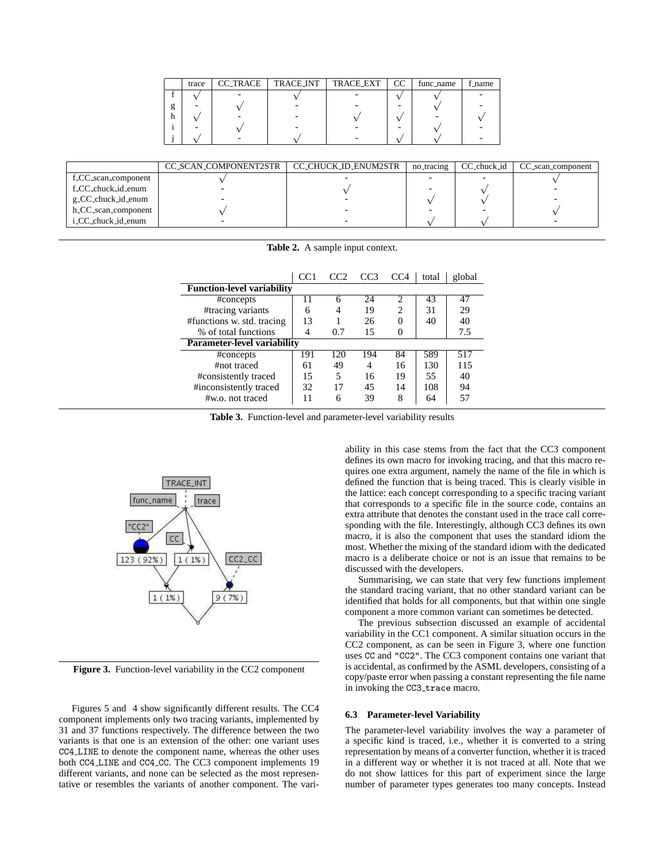|   | trace | CC_TRACE | TRACE_INT | TRACE_EXT | CC | func_name | f_name |
|---|-------|----------|-----------|-----------|----|-----------|--------|
|   |       |          |           |           |    |           |        |
| g |       |          |           |           |    |           |        |
| п |       |          |           |           |    |           |        |
|   |       |          |           |           |    |           |        |
|   |       |          |           |           |    |           |        |

|                     | CC_SCAN_COMPONENT2STR_ | CC_CHUCK_ID_ENUM2STR | no_tracing | CC_chuck_id | CC_scan_component |
|---------------------|------------------------|----------------------|------------|-------------|-------------------|
| f_CC_scan_component |                        |                      |            |             |                   |
| f_CC_chuck_id_enum  |                        |                      |            |             |                   |
| g_CC_chuck_id_enum  |                        |                      |            |             |                   |
| h_CC_scan_component |                        |                      |            |             |                   |
| i_CC_chuck_id_enum  |                        |                      |            |             |                   |

**Table 2.** A sample input context.

|                                   | CC1                                | CC2 | CC <sub>3</sub> | CC <sub>4</sub> | total | global |
|-----------------------------------|------------------------------------|-----|-----------------|-----------------|-------|--------|
| <b>Function-level variability</b> |                                    |     |                 |                 |       |        |
| #concepts                         |                                    | 6   | 24              | 2               | 43    | 47     |
| #tracing variants                 | 6                                  |     | 19              | 2               | 31    | 29     |
| #functions w. std. tracing        | 13                                 |     | 26              | 0               | 40    | 40     |
| % of total functions              |                                    | 0.7 | 15              | 0               |       | 7.5    |
|                                   | <b>Parameter-level variability</b> |     |                 |                 |       |        |
| #concepts                         | 191                                | 120 | 194             | 84              | 589   | 517    |
| #not traced                       | 61                                 | 49  | 4               | 16              | 130   | 115    |
| #consistently traced              | 15                                 | 5   | 16              | 19              | 55    | 40     |
| #inconsistently traced            | 32                                 | 17  | 45              | 14              | 108   | 94     |
| #w.o. not traced                  |                                    |     | 39              | 8               | 64    | 57     |

**Table 3.** Function-level and parameter-level variability results



**Figure 3.** Function-level variability in the CC2 component

Figures 5 and 4 show significantly different results. The CC4 component implements only two tracing variants, implemented by 31 and 37 functions respectively. The difference between the two variants is that one is an extension of the other: one variant uses CC4 LINE to denote the component name, whereas the other uses both CC4 LINE and CC4 CC. The CC3 component implements 19 different variants, and none can be selected as the most representative or resembles the variants of another component. The variability in this case stems from the fact that the CC3 component defines its own macro for invoking tracing, and that this macro requires one extra argument, namely the name of the file in which is defined the function that is being traced. This is clearly visible in the lattice: each concept corresponding to a specific tracing variant that corresponds to a specific file in the source code, contains an extra attribute that denotes the constant used in the trace call corresponding with the file. Interestingly, although CC3 defines its own macro, it is also the component that uses the standard idiom the most. Whether the mixing of the standard idiom with the dedicated macro is a deliberate choice or not is an issue that remains to be discussed with the developers.

Summarising, we can state that very few functions implement the standard tracing variant, that no other standard variant can be identified that holds for all components, but that within one single component a more common variant can sometimes be detected.

The previous subsection discussed an example of accidental variability in the CC1 component. A similar situation occurs in the CC2 component, as can be seen in Figure 3, where one function uses CC and "CC2". The CC3 component contains one variant that is accidental, as confirmed by the ASML developers, consisting of a copy/paste error when passing a constant representing the file name in invoking the CC3\_trace macro.

#### **6.3 Parameter-level Variability**

The parameter-level variability involves the way a parameter of a specific kind is traced, i.e., whether it is converted to a string representation by means of a converter function, whether it is traced in a different way or whether it is not traced at all. Note that we do not show lattices for this part of experiment since the large number of parameter types generates too many concepts. Instead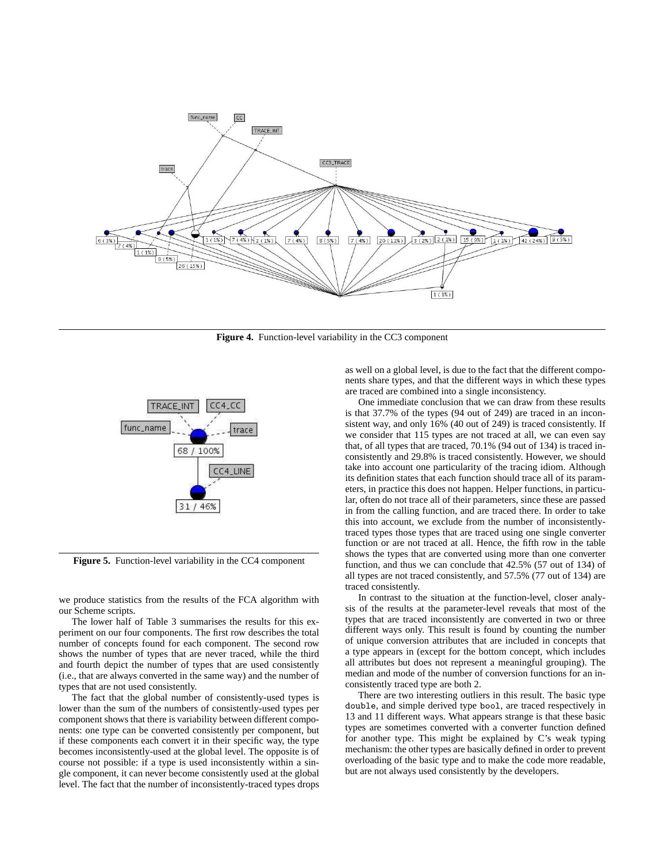

**Figure 4.** Function-level variability in the CC3 component



**Figure 5.** Function-level variability in the CC4 component

we produce statistics from the results of the FCA algorithm with our Scheme scripts.

The lower half of Table 3 summarises the results for this experiment on our four components. The first row describes the total number of concepts found for each component. The second row shows the number of types that are never traced, while the third and fourth depict the number of types that are used consistently (i.e., that are always converted in the same way) and the number of types that are not used consistently.

The fact that the global number of consistently-used types is lower than the sum of the numbers of consistently-used types per component shows that there is variability between different components: one type can be converted consistently per component, but if these components each convert it in their specific way, the type becomes inconsistently-used at the global level. The opposite is of course not possible: if a type is used inconsistently within a single component, it can never become consistently used at the global level. The fact that the number of inconsistently-traced types drops

as well on a global level, is due to the fact that the different components share types, and that the different ways in which these types are traced are combined into a single inconsistency.

One immediate conclusion that we can draw from these results is that 37.7% of the types (94 out of 249) are traced in an inconsistent way, and only 16% (40 out of 249) is traced consistently. If we consider that 115 types are not traced at all, we can even say that, of all types that are traced, 70.1% (94 out of 134) is traced inconsistently and 29.8% is traced consistently. However, we should take into account one particularity of the tracing idiom. Although its definition states that each function should trace all of its parameters, in practice this does not happen. Helper functions, in particular, often do not trace all of their parameters, since these are passed in from the calling function, and are traced there. In order to take this into account, we exclude from the number of inconsistentlytraced types those types that are traced using one single converter function or are not traced at all. Hence, the fifth row in the table shows the types that are converted using more than one converter function, and thus we can conclude that 42.5% (57 out of 134) of all types are not traced consistently, and 57.5% (77 out of 134) are traced consistently.

In contrast to the situation at the function-level, closer analysis of the results at the parameter-level reveals that most of the types that are traced inconsistently are converted in two or three different ways only. This result is found by counting the number of unique conversion attributes that are included in concepts that a type appears in (except for the bottom concept, which includes all attributes but does not represent a meaningful grouping). The median and mode of the number of conversion functions for an inconsistently traced type are both 2.

There are two interesting outliers in this result. The basic type double, and simple derived type bool, are traced respectively in 13 and 11 different ways. What appears strange is that these basic types are sometimes converted with a converter function defined for another type. This might be explained by C's weak typing mechanism: the other types are basically defined in order to prevent overloading of the basic type and to make the code more readable, but are not always used consistently by the developers.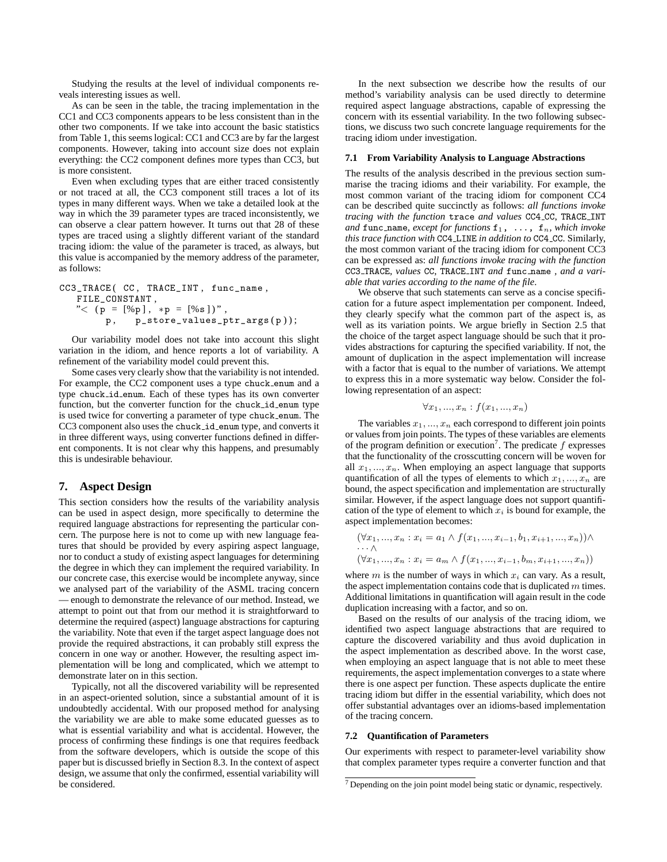Studying the results at the level of individual components reveals interesting issues as well.

As can be seen in the table, the tracing implementation in the CC1 and CC3 components appears to be less consistent than in the other two components. If we take into account the basic statistics from Table 1, this seems logical: CC1 and CC3 are by far the largest components. However, taking into account size does not explain everything: the CC2 component defines more types than CC3, but is more consistent.

Even when excluding types that are either traced consistently or not traced at all, the CC3 component still traces a lot of its types in many different ways. When we take a detailed look at the way in which the 39 parameter types are traced inconsistently, we can observe a clear pattern however. It turns out that 28 of these types are traced using a slightly different variant of the standard tracing idiom: the value of the parameter is traced, as always, but this value is accompanied by the memory address of the parameter, as follows:

```
CC3_TRACE ( CC , TRACE_INT , func_name ,
   FILE_CONSTANT ,
   "< (p = [\%p], *p = [\%s])",
        p, p\_store\_values\_ptr\_args(p));
```
Our variability model does not take into account this slight variation in the idiom, and hence reports a lot of variability. A refinement of the variability model could prevent this.

Some cases very clearly show that the variability is not intended. For example, the CC2 component uses a type chuck\_enum and a type chuck id enum. Each of these types has its own converter function, but the converter function for the chuck id enum type is used twice for converting a parameter of type chuck enum. The CC3 component also uses the chuck id enum type, and converts it in three different ways, using converter functions defined in different components. It is not clear why this happens, and presumably this is undesirable behaviour.

# **7. Aspect Design**

This section considers how the results of the variability analysis can be used in aspect design, more specifically to determine the required language abstractions for representing the particular concern. The purpose here is not to come up with new language features that should be provided by every aspiring aspect language, nor to conduct a study of existing aspect languages for determining the degree in which they can implement the required variability. In our concrete case, this exercise would be incomplete anyway, since we analysed part of the variability of the ASML tracing concern — enough to demonstrate the relevance of our method. Instead, we attempt to point out that from our method it is straightforward to determine the required (aspect) language abstractions for capturing the variability. Note that even if the target aspect language does not provide the required abstractions, it can probably still express the concern in one way or another. However, the resulting aspect implementation will be long and complicated, which we attempt to demonstrate later on in this section.

Typically, not all the discovered variability will be represented in an aspect-oriented solution, since a substantial amount of it is undoubtedly accidental. With our proposed method for analysing the variability we are able to make some educated guesses as to what is essential variability and what is accidental. However, the process of confirming these findings is one that requires feedback from the software developers, which is outside the scope of this paper but is discussed briefly in Section 8.3. In the context of aspect design, we assume that only the confirmed, essential variability will be considered.

In the next subsection we describe how the results of our method's variability analysis can be used directly to determine required aspect language abstractions, capable of expressing the concern with its essential variability. In the two following subsections, we discuss two such concrete language requirements for the tracing idiom under investigation.

#### **7.1 From Variability Analysis to Language Abstractions**

The results of the analysis described in the previous section summarise the tracing idioms and their variability. For example, the most common variant of the tracing idiom for component CC4 can be described quite succinctly as follows: *all functions invoke tracing with the function* trace *and values* CC4 CC, TRACE INT *and* func name, except for functions  $f_1, \ldots, f_n$ , which invoke *this trace function with* CC4 LINE *in addition to* CC4 CC. Similarly, the most common variant of the tracing idiom for component CC3 can be expressed as: *all functions invoke tracing with the function* CC3 TRACE*, values* CC, TRACE INT *and* func name *, and a variable that varies according to the name of the file*.

We observe that such statements can serve as a concise specification for a future aspect implementation per component. Indeed, they clearly specify what the common part of the aspect is, as well as its variation points. We argue briefly in Section 2.5 that the choice of the target aspect language should be such that it provides abstractions for capturing the specified variability. If not, the amount of duplication in the aspect implementation will increase with a factor that is equal to the number of variations. We attempt to express this in a more systematic way below. Consider the following representation of an aspect:

$$
\forall x_1, \ldots, x_n : f(x_1, \ldots, x_n)
$$

The variables  $x_1, ..., x_n$  each correspond to different join points or values from join points. The types of these variables are elements of the program definition or execution<sup>7</sup>. The predicate  $f$  expresses that the functionality of the crosscutting concern will be woven for all  $x_1, ..., x_n$ . When employing an aspect language that supports quantification of all the types of elements to which  $x_1, ..., x_n$  are bound, the aspect specification and implementation are structurally similar. However, if the aspect language does not support quantification of the type of element to which  $x_i$  is bound for example, the aspect implementation becomes:

$$
(\forall x_1, ..., x_n : x_i = a_1 \land f(x_1, ..., x_{i-1}, b_1, x_{i+1}, ..., x_n)) \land \cdots \land (\forall x_1, ..., x_n : x_i = a_m \land f(x_1, ..., x_{i-1}, b_m, x_{i+1}, ..., x_n))
$$

where m is the number of ways in which  $x_i$  can vary. As a result, the aspect implementation contains code that is duplicated  $m$  times. Additional limitations in quantification will again result in the code duplication increasing with a factor, and so on.

Based on the results of our analysis of the tracing idiom, we identified two aspect language abstractions that are required to capture the discovered variability and thus avoid duplication in the aspect implementation as described above. In the worst case, when employing an aspect language that is not able to meet these requirements, the aspect implementation converges to a state where there is one aspect per function. These aspects duplicate the entire tracing idiom but differ in the essential variability, which does not offer substantial advantages over an idioms-based implementation of the tracing concern.

#### **7.2 Quantification of Parameters**

Our experiments with respect to parameter-level variability show that complex parameter types require a converter function and that

<sup>&</sup>lt;sup>7</sup> Depending on the join point model being static or dynamic, respectively.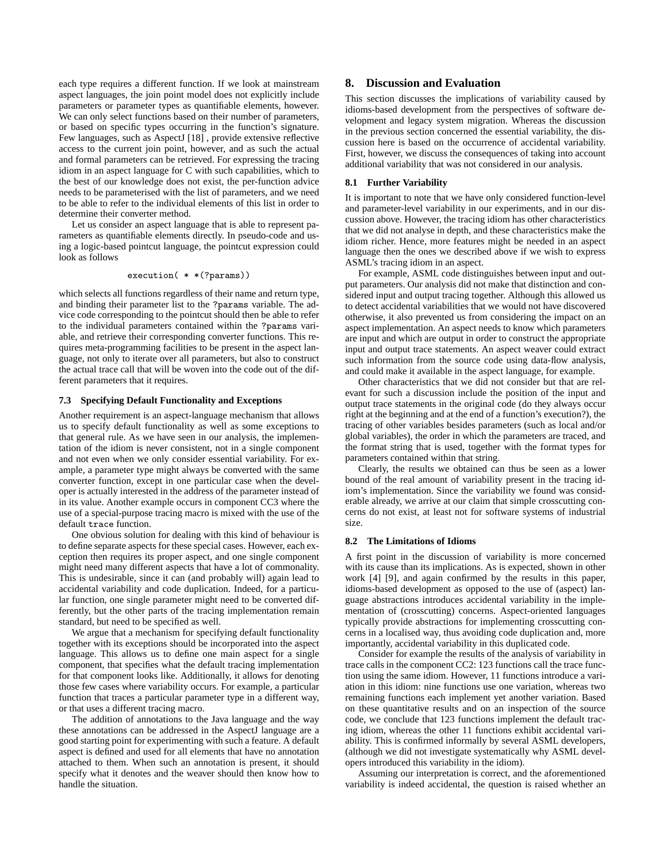each type requires a different function. If we look at mainstream aspect languages, the join point model does not explicitly include parameters or parameter types as quantifiable elements, however. We can only select functions based on their number of parameters, or based on specific types occurring in the function's signature. Few languages, such as AspectJ [18] , provide extensive reflective access to the current join point, however, and as such the actual and formal parameters can be retrieved. For expressing the tracing idiom in an aspect language for C with such capabilities, which to the best of our knowledge does not exist, the per-function advice needs to be parameterised with the list of parameters, and we need to be able to refer to the individual elements of this list in order to determine their converter method.

Let us consider an aspect language that is able to represent parameters as quantifiable elements directly. In pseudo-code and using a logic-based pointcut language, the pointcut expression could look as follows

execution( \* \*(?params))

which selects all functions regardless of their name and return type, and binding their parameter list to the ?params variable. The advice code corresponding to the pointcut should then be able to refer to the individual parameters contained within the ?params variable, and retrieve their corresponding converter functions. This requires meta-programming facilities to be present in the aspect language, not only to iterate over all parameters, but also to construct the actual trace call that will be woven into the code out of the different parameters that it requires.

#### **7.3 Specifying Default Functionality and Exceptions**

Another requirement is an aspect-language mechanism that allows us to specify default functionality as well as some exceptions to that general rule. As we have seen in our analysis, the implementation of the idiom is never consistent, not in a single component and not even when we only consider essential variability. For example, a parameter type might always be converted with the same converter function, except in one particular case when the developer is actually interested in the address of the parameter instead of in its value. Another example occurs in component CC3 where the use of a special-purpose tracing macro is mixed with the use of the default trace function.

One obvious solution for dealing with this kind of behaviour is to define separate aspects for these special cases. However, each exception then requires its proper aspect, and one single component might need many different aspects that have a lot of commonality. This is undesirable, since it can (and probably will) again lead to accidental variability and code duplication. Indeed, for a particular function, one single parameter might need to be converted differently, but the other parts of the tracing implementation remain standard, but need to be specified as well.

We argue that a mechanism for specifying default functionality together with its exceptions should be incorporated into the aspect language. This allows us to define one main aspect for a single component, that specifies what the default tracing implementation for that component looks like. Additionally, it allows for denoting those few cases where variability occurs. For example, a particular function that traces a particular parameter type in a different way, or that uses a different tracing macro.

The addition of annotations to the Java language and the way these annotations can be addressed in the AspectJ language are a good starting point for experimenting with such a feature. A default aspect is defined and used for all elements that have no annotation attached to them. When such an annotation is present, it should specify what it denotes and the weaver should then know how to handle the situation.

# **8. Discussion and Evaluation**

This section discusses the implications of variability caused by idioms-based development from the perspectives of software development and legacy system migration. Whereas the discussion in the previous section concerned the essential variability, the discussion here is based on the occurrence of accidental variability. First, however, we discuss the consequences of taking into account additional variability that was not considered in our analysis.

#### **8.1 Further Variability**

It is important to note that we have only considered function-level and parameter-level variability in our experiments, and in our discussion above. However, the tracing idiom has other characteristics that we did not analyse in depth, and these characteristics make the idiom richer. Hence, more features might be needed in an aspect language then the ones we described above if we wish to express ASML's tracing idiom in an aspect.

For example, ASML code distinguishes between input and output parameters. Our analysis did not make that distinction and considered input and output tracing together. Although this allowed us to detect accidental variabilities that we would not have discovered otherwise, it also prevented us from considering the impact on an aspect implementation. An aspect needs to know which parameters are input and which are output in order to construct the appropriate input and output trace statements. An aspect weaver could extract such information from the source code using data-flow analysis, and could make it available in the aspect language, for example.

Other characteristics that we did not consider but that are relevant for such a discussion include the position of the input and output trace statements in the original code (do they always occur right at the beginning and at the end of a function's execution?), the tracing of other variables besides parameters (such as local and/or global variables), the order in which the parameters are traced, and the format string that is used, together with the format types for parameters contained within that string.

Clearly, the results we obtained can thus be seen as a lower bound of the real amount of variability present in the tracing idiom's implementation. Since the variability we found was considerable already, we arrive at our claim that simple crosscutting concerns do not exist, at least not for software systems of industrial size.

#### **8.2 The Limitations of Idioms**

A first point in the discussion of variability is more concerned with its cause than its implications. As is expected, shown in other work [4] [9], and again confirmed by the results in this paper, idioms-based development as opposed to the use of (aspect) language abstractions introduces accidental variability in the implementation of (crosscutting) concerns. Aspect-oriented languages typically provide abstractions for implementing crosscutting concerns in a localised way, thus avoiding code duplication and, more importantly, accidental variability in this duplicated code.

Consider for example the results of the analysis of variability in trace calls in the component CC2: 123 functions call the trace function using the same idiom. However, 11 functions introduce a variation in this idiom: nine functions use one variation, whereas two remaining functions each implement yet another variation. Based on these quantitative results and on an inspection of the source code, we conclude that 123 functions implement the default tracing idiom, whereas the other 11 functions exhibit accidental variability. This is confirmed informally by several ASML developers, (although we did not investigate systematically why ASML developers introduced this variability in the idiom).

Assuming our interpretation is correct, and the aforementioned variability is indeed accidental, the question is raised whether an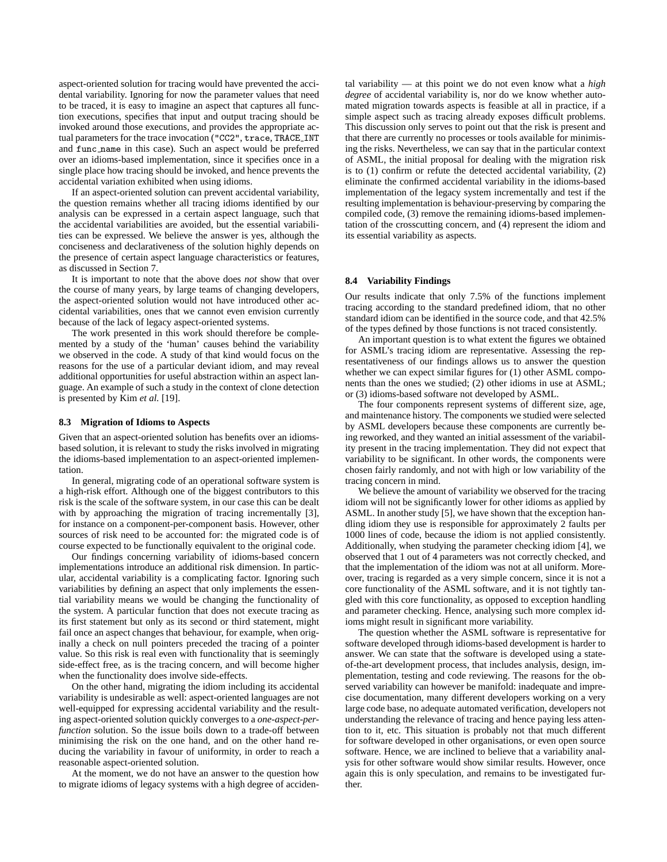aspect-oriented solution for tracing would have prevented the accidental variability. Ignoring for now the parameter values that need to be traced, it is easy to imagine an aspect that captures all function executions, specifies that input and output tracing should be invoked around those executions, and provides the appropriate actual parameters for the trace invocation ("CC2", trace, TRACE INT and func name in this case). Such an aspect would be preferred over an idioms-based implementation, since it specifies once in a single place how tracing should be invoked, and hence prevents the accidental variation exhibited when using idioms.

If an aspect-oriented solution can prevent accidental variability, the question remains whether all tracing idioms identified by our analysis can be expressed in a certain aspect language, such that the accidental variabilities are avoided, but the essential variabilities can be expressed. We believe the answer is yes, although the conciseness and declarativeness of the solution highly depends on the presence of certain aspect language characteristics or features, as discussed in Section 7.

It is important to note that the above does *not* show that over the course of many years, by large teams of changing developers, the aspect-oriented solution would not have introduced other accidental variabilities, ones that we cannot even envision currently because of the lack of legacy aspect-oriented systems.

The work presented in this work should therefore be complemented by a study of the 'human' causes behind the variability we observed in the code. A study of that kind would focus on the reasons for the use of a particular deviant idiom, and may reveal additional opportunities for useful abstraction within an aspect language. An example of such a study in the context of clone detection is presented by Kim *et al.* [19].

#### **8.3 Migration of Idioms to Aspects**

Given that an aspect-oriented solution has benefits over an idiomsbased solution, it is relevant to study the risks involved in migrating the idioms-based implementation to an aspect-oriented implementation.

In general, migrating code of an operational software system is a high-risk effort. Although one of the biggest contributors to this risk is the scale of the software system, in our case this can be dealt with by approaching the migration of tracing incrementally [3], for instance on a component-per-component basis. However, other sources of risk need to be accounted for: the migrated code is of course expected to be functionally equivalent to the original code.

Our findings concerning variability of idioms-based concern implementations introduce an additional risk dimension. In particular, accidental variability is a complicating factor. Ignoring such variabilities by defining an aspect that only implements the essential variability means we would be changing the functionality of the system. A particular function that does not execute tracing as its first statement but only as its second or third statement, might fail once an aspect changes that behaviour, for example, when originally a check on null pointers preceded the tracing of a pointer value. So this risk is real even with functionality that is seemingly side-effect free, as is the tracing concern, and will become higher when the functionality does involve side-effects.

On the other hand, migrating the idiom including its accidental variability is undesirable as well: aspect-oriented languages are not well-equipped for expressing accidental variability and the resulting aspect-oriented solution quickly converges to a *one-aspect-perfunction* solution. So the issue boils down to a trade-off between minimising the risk on the one hand, and on the other hand reducing the variability in favour of uniformity, in order to reach a reasonable aspect-oriented solution.

At the moment, we do not have an answer to the question how to migrate idioms of legacy systems with a high degree of accidental variability — at this point we do not even know what a *high degree* of accidental variability is, nor do we know whether automated migration towards aspects is feasible at all in practice, if a simple aspect such as tracing already exposes difficult problems. This discussion only serves to point out that the risk is present and that there are currently no processes or tools available for minimising the risks. Nevertheless, we can say that in the particular context of ASML, the initial proposal for dealing with the migration risk is to (1) confirm or refute the detected accidental variability, (2) eliminate the confirmed accidental variability in the idioms-based implementation of the legacy system incrementally and test if the resulting implementation is behaviour-preserving by comparing the compiled code, (3) remove the remaining idioms-based implementation of the crosscutting concern, and (4) represent the idiom and its essential variability as aspects.

#### **8.4 Variability Findings**

Our results indicate that only 7.5% of the functions implement tracing according to the standard predefined idiom, that no other standard idiom can be identified in the source code, and that 42.5% of the types defined by those functions is not traced consistently.

An important question is to what extent the figures we obtained for ASML's tracing idiom are representative. Assessing the representativeness of our findings allows us to answer the question whether we can expect similar figures for (1) other ASML components than the ones we studied; (2) other idioms in use at ASML; or (3) idioms-based software not developed by ASML.

The four components represent systems of different size, age, and maintenance history. The components we studied were selected by ASML developers because these components are currently being reworked, and they wanted an initial assessment of the variability present in the tracing implementation. They did not expect that variability to be significant. In other words, the components were chosen fairly randomly, and not with high or low variability of the tracing concern in mind.

We believe the amount of variability we observed for the tracing idiom will not be significantly lower for other idioms as applied by ASML. In another study [5], we have shown that the exception handling idiom they use is responsible for approximately 2 faults per 1000 lines of code, because the idiom is not applied consistently. Additionally, when studying the parameter checking idiom [4], we observed that 1 out of 4 parameters was not correctly checked, and that the implementation of the idiom was not at all uniform. Moreover, tracing is regarded as a very simple concern, since it is not a core functionality of the ASML software, and it is not tightly tangled with this core functionality, as opposed to exception handling and parameter checking. Hence, analysing such more complex idioms might result in significant more variability.

The question whether the ASML software is representative for software developed through idioms-based development is harder to answer. We can state that the software is developed using a stateof-the-art development process, that includes analysis, design, implementation, testing and code reviewing. The reasons for the observed variability can however be manifold: inadequate and imprecise documentation, many different developers working on a very large code base, no adequate automated verification, developers not understanding the relevance of tracing and hence paying less attention to it, etc. This situation is probably not that much different for software developed in other organisations, or even open source software. Hence, we are inclined to believe that a variability analysis for other software would show similar results. However, once again this is only speculation, and remains to be investigated further.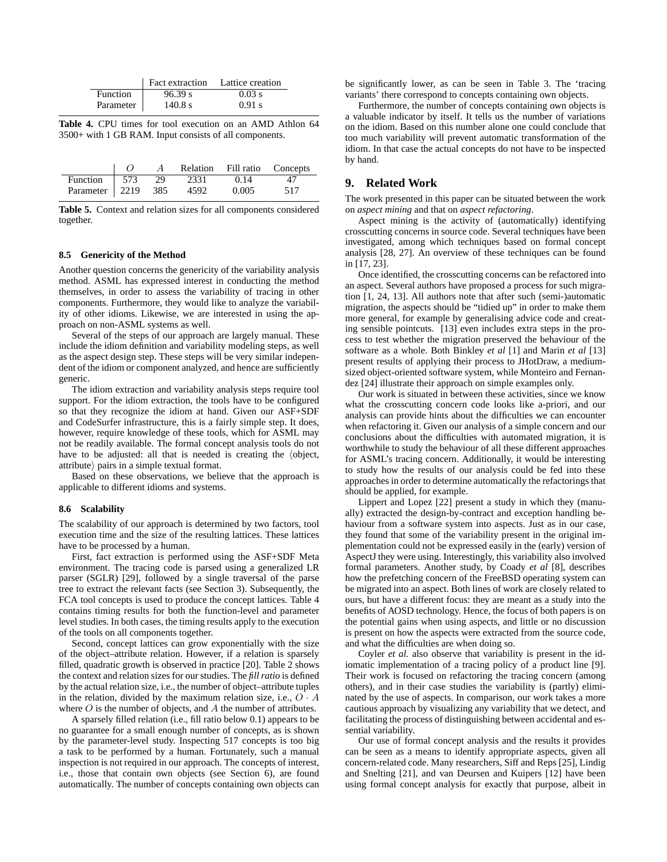|           | l Fact extraction | Lattice creation |
|-----------|-------------------|------------------|
| Function  | 96.39 s           | 0.03 s           |
| Parameter | 140.8 s           | 0.91 s           |

**Table 4.** CPU times for tool execution on an AMD Athlon 64 3500+ with 1 GB RAM. Input consists of all components.

|                                           | $\sqrt{2}$ |      | A Relation Fill ratio Concepts |      |
|-------------------------------------------|------------|------|--------------------------------|------|
| Function   573 29 2331                    |            |      | 0.14                           | 47   |
| Parameter $\begin{array}{ c c }$ 2219 385 |            | 4592 | 0.005                          | -517 |

**Table 5.** Context and relation sizes for all components considered together.

#### **8.5 Genericity of the Method**

Another question concerns the genericity of the variability analysis method. ASML has expressed interest in conducting the method themselves, in order to assess the variability of tracing in other components. Furthermore, they would like to analyze the variability of other idioms. Likewise, we are interested in using the approach on non-ASML systems as well.

Several of the steps of our approach are largely manual. These include the idiom definition and variability modeling steps, as well as the aspect design step. These steps will be very similar independent of the idiom or component analyzed, and hence are sufficiently generic.

The idiom extraction and variability analysis steps require tool support. For the idiom extraction, the tools have to be configured so that they recognize the idiom at hand. Given our ASF+SDF and CodeSurfer infrastructure, this is a fairly simple step. It does, however, require knowledge of these tools, which for ASML may not be readily available. The formal concept analysis tools do not have to be adjusted: all that is needed is creating the  $\langle$ object, attribute $\rangle$  pairs in a simple textual format.

Based on these observations, we believe that the approach is applicable to different idioms and systems.

#### **8.6 Scalability**

The scalability of our approach is determined by two factors, tool execution time and the size of the resulting lattices. These lattices have to be processed by a human.

First, fact extraction is performed using the ASF+SDF Meta environment. The tracing code is parsed using a generalized LR parser (SGLR) [29], followed by a single traversal of the parse tree to extract the relevant facts (see Section 3). Subsequently, the FCA tool concepts is used to produce the concept lattices. Table 4 contains timing results for both the function-level and parameter level studies. In both cases, the timing results apply to the execution of the tools on all components together.

Second, concept lattices can grow exponentially with the size of the object–attribute relation. However, if a relation is sparsely filled, quadratic growth is observed in practice [20]. Table 2 shows the context and relation sizes for our studies. The *fill ratio* is defined by the actual relation size, i.e., the number of object–attribute tuples in the relation, divided by the maximum relation size, i.e.,  $O \cdot A$ where  $O$  is the number of objects, and  $A$  the number of attributes.

A sparsely filled relation (i.e., fill ratio below 0.1) appears to be no guarantee for a small enough number of concepts, as is shown by the parameter-level study. Inspecting 517 concepts is too big a task to be performed by a human. Fortunately, such a manual inspection is not required in our approach. The concepts of interest, i.e., those that contain own objects (see Section 6), are found automatically. The number of concepts containing own objects can be significantly lower, as can be seen in Table 3. The 'tracing variants' there correspond to concepts containing own objects.

Furthermore, the number of concepts containing own objects is a valuable indicator by itself. It tells us the number of variations on the idiom. Based on this number alone one could conclude that too much variability will prevent automatic transformation of the idiom. In that case the actual concepts do not have to be inspected by hand.

### **9. Related Work**

The work presented in this paper can be situated between the work on *aspect mining* and that on *aspect refactoring*.

Aspect mining is the activity of (automatically) identifying crosscutting concerns in source code. Several techniques have been investigated, among which techniques based on formal concept analysis [28, 27]. An overview of these techniques can be found in [17, 23].

Once identified, the crosscutting concerns can be refactored into an aspect. Several authors have proposed a process for such migration [1, 24, 13]. All authors note that after such (semi-)automatic migration, the aspects should be "tidied up" in order to make them more general, for example by generalising advice code and creating sensible pointcuts. [13] even includes extra steps in the process to test whether the migration preserved the behaviour of the software as a whole. Both Binkley *et al* [1] and Marin *et al* [13] present results of applying their process to JHotDraw, a mediumsized object-oriented software system, while Monteiro and Fernandez [24] illustrate their approach on simple examples only.

Our work is situated in between these activities, since we know what the crosscutting concern code looks like a-priori, and our analysis can provide hints about the difficulties we can encounter when refactoring it. Given our analysis of a simple concern and our conclusions about the difficulties with automated migration, it is worthwhile to study the behaviour of all these different approaches for ASML's tracing concern. Additionally, it would be interesting to study how the results of our analysis could be fed into these approaches in order to determine automatically the refactorings that should be applied, for example.

Lippert and Lopez [22] present a study in which they (manually) extracted the design-by-contract and exception handling behaviour from a software system into aspects. Just as in our case, they found that some of the variability present in the original implementation could not be expressed easily in the (early) version of AspectJ they were using. Interestingly, this variability also involved formal parameters. Another study, by Coady *et al* [8], describes how the prefetching concern of the FreeBSD operating system can be migrated into an aspect. Both lines of work are closely related to ours, but have a different focus: they are meant as a study into the benefits of AOSD technology. Hence, the focus of both papers is on the potential gains when using aspects, and little or no discussion is present on how the aspects were extracted from the source code, and what the difficulties are when doing so.

Coyler *et al.* also observe that variability is present in the idiomatic implementation of a tracing policy of a product line [9]. Their work is focused on refactoring the tracing concern (among others), and in their case studies the variability is (partly) eliminated by the use of aspects. In comparison, our work takes a more cautious approach by visualizing any variability that we detect, and facilitating the process of distinguishing between accidental and essential variability.

Our use of formal concept analysis and the results it provides can be seen as a means to identify appropriate aspects, given all concern-related code. Many researchers, Siff and Reps [25], Lindig and Snelting [21], and van Deursen and Kuipers [12] have been using formal concept analysis for exactly that purpose, albeit in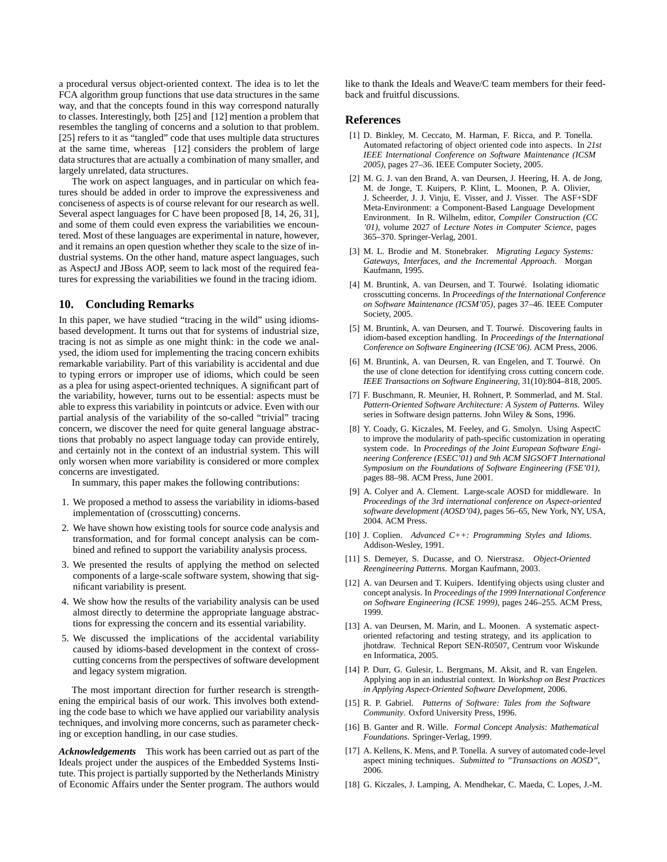a procedural versus object-oriented context. The idea is to let the FCA algorithm group functions that use data structures in the same way, and that the concepts found in this way correspond naturally to classes. Interestingly, both [25] and [12] mention a problem that resembles the tangling of concerns and a solution to that problem. [25] refers to it as "tangled" code that uses multiple data structures at the same time, whereas [12] considers the problem of large data structures that are actually a combination of many smaller, and largely unrelated, data structures.

The work on aspect languages, and in particular on which features should be added in order to improve the expressiveness and conciseness of aspects is of course relevant for our research as well. Several aspect languages for C have been proposed [8, 14, 26, 31], and some of them could even express the variabilities we encountered. Most of these languages are experimental in nature, however, and it remains an open question whether they scale to the size of industrial systems. On the other hand, mature aspect languages, such as AspectJ and JBoss AOP, seem to lack most of the required features for expressing the variabilities we found in the tracing idiom.

# **10. Concluding Remarks**

In this paper, we have studied "tracing in the wild" using idiomsbased development. It turns out that for systems of industrial size, tracing is not as simple as one might think: in the code we analysed, the idiom used for implementing the tracing concern exhibits remarkable variability. Part of this variability is accidental and due to typing errors or improper use of idioms, which could be seen as a plea for using aspect-oriented techniques. A significant part of the variability, however, turns out to be essential: aspects must be able to express this variability in pointcuts or advice. Even with our partial analysis of the variability of the so-called "trivial" tracing concern, we discover the need for quite general language abstractions that probably no aspect language today can provide entirely, and certainly not in the context of an industrial system. This will only worsen when more variability is considered or more complex concerns are investigated.

In summary, this paper makes the following contributions:

- 1. We proposed a method to assess the variability in idioms-based implementation of (crosscutting) concerns.
- 2. We have shown how existing tools for source code analysis and transformation, and for formal concept analysis can be combined and refined to support the variability analysis process.
- 3. We presented the results of applying the method on selected components of a large-scale software system, showing that significant variability is present.
- 4. We show how the results of the variability analysis can be used almost directly to determine the appropriate language abstractions for expressing the concern and its essential variability.
- 5. We discussed the implications of the accidental variability caused by idioms-based development in the context of crosscutting concerns from the perspectives of software development and legacy system migration.

The most important direction for further research is strengthening the empirical basis of our work. This involves both extending the code base to which we have applied our variability analysis techniques, and involving more concerns, such as parameter checking or exception handling, in our case studies.

*Acknowledgements* This work has been carried out as part of the Ideals project under the auspices of the Embedded Systems Institute. This project is partially supported by the Netherlands Ministry of Economic Affairs under the Senter program. The authors would like to thank the Ideals and Weave/C team members for their feedback and fruitful discussions.

## **References**

- [1] D. Binkley, M. Ceccato, M. Harman, F. Ricca, and P. Tonella. Automated refactoring of object oriented code into aspects. In *21st IEEE International Conference on Software Maintenance (ICSM 2005)*, pages 27–36. IEEE Computer Society, 2005.
- [2] M. G. J. van den Brand, A. van Deursen, J. Heering, H. A. de Jong, M. de Jonge, T. Kuipers, P. Klint, L. Moonen, P. A. Olivier, J. Scheerder, J. J. Vinju, E. Visser, and J. Visser. The ASF+SDF Meta-Environment: a Component-Based Language Development Environment. In R. Wilhelm, editor, *Compiler Construction (CC '01)*, volume 2027 of *Lecture Notes in Computer Science*, pages 365–370. Springer-Verlag, 2001.
- [3] M. L. Brodie and M. Stonebraker. *Migrating Legacy Systems: Gateways, Interfaces, and the Incremental Approach*. Morgan Kaufmann, 1995.
- [4] M. Bruntink, A. van Deursen, and T. Tourwé. Isolating idiomatic crosscutting concerns. In *Proceedings of the International Conference on Software Maintenance (ICSM'05)*, pages 37–46. IEEE Computer Society, 2005.
- [5] M. Bruntink, A. van Deursen, and T. Tourwé. Discovering faults in idiom-based exception handling. In *Proceedings of the International Conference on Software Engineering (ICSE'06)*. ACM Press, 2006.
- [6] M. Bruntink, A. van Deursen, R. van Engelen, and T. Tourwé. On the use of clone detection for identifying cross cutting concern code. *IEEE Transactions on Software Engineering*, 31(10):804–818, 2005.
- [7] F. Buschmann, R. Meunier, H. Rohnert, P. Sommerlad, and M. Stal. *Pattern-Oriented Software Architecture: A System of Patterns*. Wiley series in Software design patterns. John Wiley & Sons, 1996.
- [8] Y. Coady, G. Kiczales, M. Feeley, and G. Smolyn. Using AspectC to improve the modularity of path-specific customization in operating system code. In *Proceedings of the Joint European Software Engineering Conference (ESEC'01) and 9th ACM SIGSOFT International Symposium on the Foundations of Software Engineering (FSE'01)*, pages 88–98. ACM Press, June 2001.
- [9] A. Colyer and A. Clement. Large-scale AOSD for middleware. In *Proceedings of the 3rd international conference on Aspect-oriented software development (AOSD'04)*, pages 56–65, New York, NY, USA, 2004. ACM Press.
- [10] J. Coplien. *Advanced C++: Programming Styles and Idioms*. Addison-Wesley, 1991.
- [11] S. Demeyer, S. Ducasse, and O. Nierstrasz. *Object-Oriented Reengineering Patterns*. Morgan Kaufmann, 2003.
- [12] A. van Deursen and T. Kuipers. Identifying objects using cluster and concept analysis. In *Proceedings of the 1999 International Conference on Software Engineering (ICSE 1999)*, pages 246–255. ACM Press, 1999.
- [13] A. van Deursen, M. Marin, and L. Moonen. A systematic aspectoriented refactoring and testing strategy, and its application to jhotdraw. Technical Report SEN-R0507, Centrum voor Wiskunde en Informatica, 2005.
- [14] P. Durr, G. Gulesir, L. Bergmans, M. Aksit, and R. van Engelen. Applying aop in an industrial context. In *Workshop on Best Practices in Applying Aspect-Oriented Software Development*, 2006.
- [15] R. P. Gabriel. *Patterns of Software: Tales from the Software Community*. Oxford University Press, 1996.
- [16] B. Ganter and R. Wille. *Formal Concept Analysis: Mathematical Foundations*. Springer-Verlag, 1999.
- [17] A. Kellens, K. Mens, and P. Tonella. A survey of automated code-level aspect mining techniques. *Submitted to "Transactions on AOSD"*, 2006.
- [18] G. Kiczales, J. Lamping, A. Mendhekar, C. Maeda, C. Lopes, J.-M.